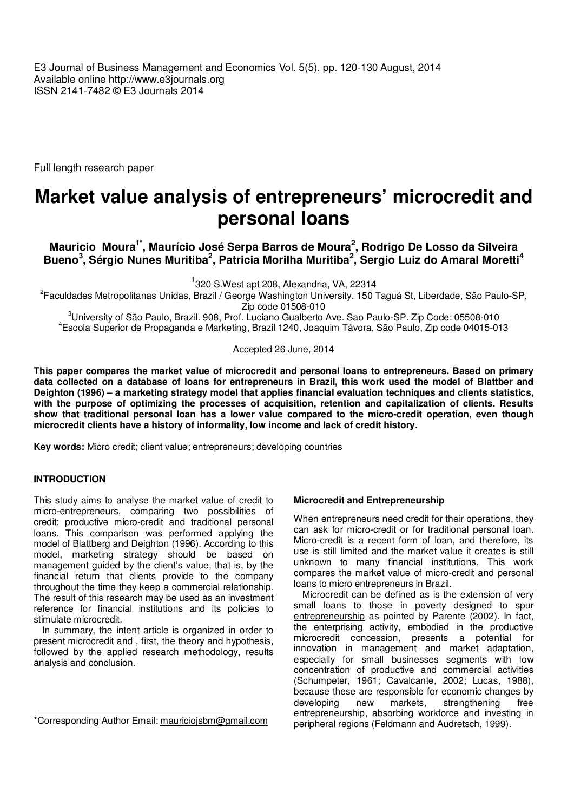E3 Journal of Business Management and Economics Vol. 5(5). pp. 120-130 August, 2014 Available online http://www.e3journals.org ISSN 2141-7482 © E3 Journals 2014

Full length research paper

# **Market value analysis of entrepreneurs' microcredit and personal loans**

**Mauricio Moura1\*, Maurício José Serpa Barros de Moura<sup>2</sup> , Rodrigo De Losso da Silveira Bueno<sup>3</sup> , Sérgio Nunes Muritiba<sup>2</sup> , Patricia Morilha Muritiba<sup>2</sup> , Sergio Luiz do Amaral Moretti<sup>4</sup>**

<sup>1</sup>320 S.West apt 208, Alexandria, VA, 22314

<sup>2</sup>Faculdades Metropolitanas Unidas, Brazil / George Washington University. 150 Taguá St, Liberdade, São Paulo-SP, Zip code 01508-010

<sup>3</sup>University of São Paulo, Brazil. 908, Prof. Luciano Gualberto Ave. Sao Paulo-SP. Zip Code: 05508-010 4 Escola Superior de Propaganda e Marketing, Brazil 1240, Joaquim Távora, São Paulo, Zip code 04015-013

Accepted 26 June, 2014

**This paper compares the market value of microcredit and personal loans to entrepreneurs. Based on primary data collected on a database of loans for entrepreneurs in Brazil, this work used the model of Blattber and Deighton (1996) – a marketing strategy model that applies financial evaluation techniques and clients statistics, with the purpose of optimizing the processes of acquisition, retention and capitalization of clients. Results show that traditional personal loan has a lower value compared to the micro-credit operation, even though microcredit clients have a history of informality, low income and lack of credit history.** 

**Key words:** Micro credit; client value; entrepreneurs; developing countries

## **INTRODUCTION**

This study aims to analyse the market value of credit to micro-entrepreneurs, comparing two possibilities of credit: productive micro-credit and traditional personal loans. This comparison was performed applying the model of Blattberg and Deighton (1996). According to this model, marketing strategy should be based on management guided by the client's value, that is, by the financial return that clients provide to the company throughout the time they keep a commercial relationship. The result of this research may be used as an investment reference for financial institutions and its policies to stimulate microcredit.

In summary, the intent article is organized in order to present microcredit and , first, the theory and hypothesis, followed by the applied research methodology, results analysis and conclusion.

## **Microcredit and Entrepreneurship**

When entrepreneurs need credit for their operations, they can ask for micro-credit or for traditional personal loan. Micro-credit is a recent form of loan, and therefore, its use is still limited and the market value it creates is still unknown to many financial institutions. This work compares the market value of micro-credit and personal loans to micro entrepreneurs in Brazil.

Microcredit can be defined as is the extension of very small loans to those in poverty designed to spur entrepreneurship as pointed by Parente (2002). In fact, the enterprising activity, embodied in the productive microcredit concession, presents a potential for innovation in management and market adaptation, especially for small businesses segments with low concentration of productive and commercial activities (Schumpeter, 1961; Cavalcante, 2002; Lucas, 1988), because these are responsible for economic changes by developing new markets, strengthening free entrepreneurship, absorbing workforce and investing in peripheral regions (Feldmann and Audretsch, 1999).

<sup>\*</sup>Corresponding Author Email: mauriciojsbm@gmail.com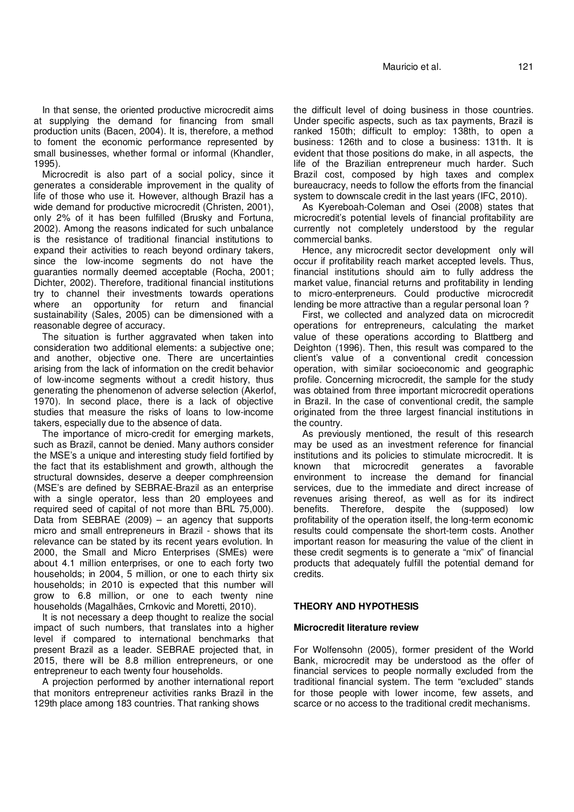In that sense, the oriented productive microcredit aims at supplying the demand for financing from small production units (Bacen, 2004). It is, therefore, a method to foment the economic performance represented by small businesses, whether formal or informal (Khandler, 1995).

Microcredit is also part of a social policy, since it generates a considerable improvement in the quality of life of those who use it. However, although Brazil has a wide demand for productive microcredit (Christen, 2001), only 2% of it has been fulfilled (Brusky and Fortuna, 2002). Among the reasons indicated for such unbalance is the resistance of traditional financial institutions to expand their activities to reach beyond ordinary takers, since the low-income segments do not have the guaranties normally deemed acceptable (Rocha, 2001; Dichter, 2002). Therefore, traditional financial institutions try to channel their investments towards operations where an opportunity for return and financial sustainability (Sales, 2005) can be dimensioned with a reasonable degree of accuracy.

The situation is further aggravated when taken into consideration two additional elements: a subjective one; and another, objective one. There are uncertainties arising from the lack of information on the credit behavior of low-income segments without a credit history, thus generating the phenomenon of adverse selection (Akerlof, 1970). In second place, there is a lack of objective studies that measure the risks of loans to low-income takers, especially due to the absence of data.

The importance of micro-credit for emerging markets, such as Brazil, cannot be denied. Many authors consider the MSE's a unique and interesting study field fortified by the fact that its establishment and growth, although the structural downsides, deserve a deeper comphreension (MSE's are defined by SEBRAE-Brazil as an enterprise with a single operator, less than 20 employees and required seed of capital of not more than BRL 75,000). Data from SEBRAE (2009) – an agency that supports micro and small entrepreneurs in Brazil - shows that its relevance can be stated by its recent years evolution. In 2000, the Small and Micro Enterprises (SMEs) were about 4.1 million enterprises, or one to each forty two households; in 2004, 5 million, or one to each thirty six households; in 2010 is expected that this number will grow to 6.8 million, or one to each twenty nine households (Magalhães, Crnkovic and Moretti, 2010).

It is not necessary a deep thought to realize the social impact of such numbers, that translates into a higher level if compared to international benchmarks that present Brazil as a leader. SEBRAE projected that, in 2015, there will be 8.8 million entrepreneurs, or one entrepreneur to each twenty four households.

A projection performed by another international report that monitors entrepreneur activities ranks Brazil in the 129th place among 183 countries. That ranking shows

the difficult level of doing business in those countries. Under specific aspects, such as tax payments, Brazil is ranked 150th; difficult to employ: 138th, to open a business: 126th and to close a business: 131th. It is evident that those positions do make, in all aspects, the life of the Brazilian entrepreneur much harder. Such Brazil cost, composed by high taxes and complex bureaucracy, needs to follow the efforts from the financial system to downscale credit in the last years (IFC, 2010).

As Kyereboah-Coleman and Osei (2008) states that microcredit's potential levels of financial profitability are currently not completely understood by the regular commercial banks.

Hence, any microcredit sector development only will occur if profitability reach market accepted levels. Thus, financial institutions should aim to fully address the market value, financial returns and profitability in lending to micro-enterpreneurs. Could productive microcredit lending be more attractive than a regular personal loan ?

First, we collected and analyzed data on microcredit operations for entrepreneurs, calculating the market value of these operations according to Blattberg and Deighton (1996). Then, this result was compared to the client's value of a conventional credit concession operation, with similar socioeconomic and geographic profile. Concerning microcredit, the sample for the study was obtained from three important microcredit operations in Brazil. In the case of conventional credit, the sample originated from the three largest financial institutions in the country.

As previously mentioned, the result of this research may be used as an investment reference for financial institutions and its policies to stimulate microcredit. It is known that microcredit generates a favorable environment to increase the demand for financial services, due to the immediate and direct increase of revenues arising thereof, as well as for its indirect benefits. Therefore, despite the (supposed) low profitability of the operation itself, the long-term economic results could compensate the short-term costs. Another important reason for measuring the value of the client in these credit segments is to generate a "mix" of financial products that adequately fulfill the potential demand for credits.

#### **THEORY AND HYPOTHESIS**

#### **Microcredit literature review**

For Wolfensohn (2005), former president of the World Bank, microcredit may be understood as the offer of financial services to people normally excluded from the traditional financial system. The term "excluded" stands for those people with lower income, few assets, and scarce or no access to the traditional credit mechanisms.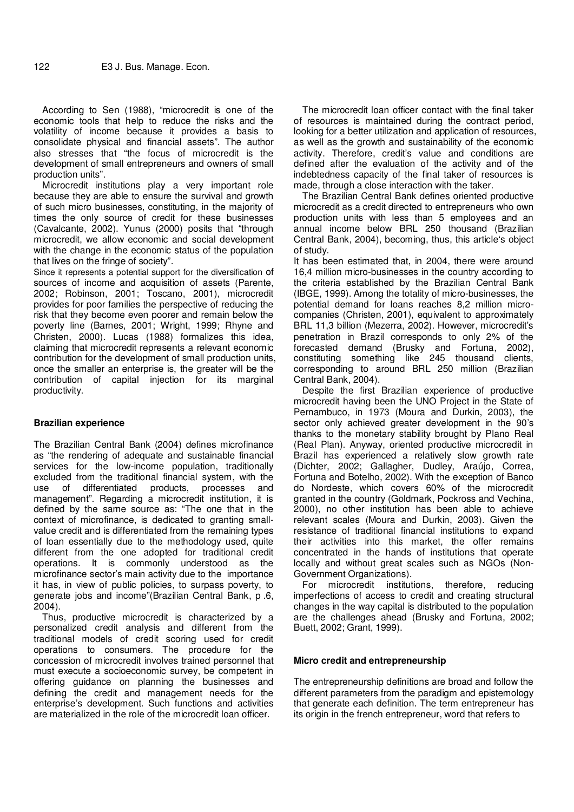According to Sen (1988), "microcredit is one of the economic tools that help to reduce the risks and the volatility of income because it provides a basis to consolidate physical and financial assets". The author also stresses that "the focus of microcredit is the development of small entrepreneurs and owners of small production units".

Microcredit institutions play a very important role because they are able to ensure the survival and growth of such micro businesses, constituting, in the majority of times the only source of credit for these businesses (Cavalcante, 2002). Yunus (2000) posits that "through microcredit, we allow economic and social development with the change in the economic status of the population that lives on the fringe of society".

Since it represents a potential support for the diversification of sources of income and acquisition of assets (Parente, 2002; Robinson, 2001; Toscano, 2001), microcredit provides for poor families the perspective of reducing the risk that they become even poorer and remain below the poverty line (Barnes, 2001; Wright, 1999; Rhyne and Christen, 2000). Lucas (1988) formalizes this idea, claiming that microcredit represents a relevant economic contribution for the development of small production units, once the smaller an enterprise is, the greater will be the contribution of capital injection for its marginal productivity.

#### **Brazilian experience**

The Brazilian Central Bank (2004) defines microfinance as "the rendering of adequate and sustainable financial services for the low-income population, traditionally excluded from the traditional financial system, with the use of differentiated products, processes and management". Regarding a microcredit institution, it is defined by the same source as: "The one that in the context of microfinance, is dedicated to granting smallvalue credit and is differentiated from the remaining types of loan essentially due to the methodology used, quite different from the one adopted for traditional credit operations. It is commonly understood as the microfinance sector's main activity due to the importance it has, in view of public policies, to surpass poverty, to generate jobs and income"(Brazilian Central Bank, p .6, 2004).

Thus, productive microcredit is characterized by a personalized credit analysis and different from the traditional models of credit scoring used for credit operations to consumers. The procedure for the concession of microcredit involves trained personnel that must execute a socioeconomic survey, be competent in offering guidance on planning the businesses and defining the credit and management needs for the enterprise's development. Such functions and activities are materialized in the role of the microcredit loan officer.

The microcredit loan officer contact with the final taker of resources is maintained during the contract period, looking for a better utilization and application of resources, as well as the growth and sustainability of the economic activity. Therefore, credit's value and conditions are defined after the evaluation of the activity and of the indebtedness capacity of the final taker of resources is made, through a close interaction with the taker.

The Brazilian Central Bank defines oriented productive microcredit as a credit directed to entrepreneurs who own production units with less than 5 employees and an annual income below BRL 250 thousand (Brazilian Central Bank, 2004), becoming, thus, this article's object of study.

It has been estimated that, in 2004, there were around 16,4 million micro-businesses in the country according to the criteria established by the Brazilian Central Bank (IBGE, 1999). Among the totality of micro-businesses, the potential demand for loans reaches 8,2 million microcompanies (Christen, 2001), equivalent to approximately BRL 11,3 billion (Mezerra, 2002). However, microcredit's penetration in Brazil corresponds to only 2% of the forecasted demand (Brusky and Fortuna, 2002), constituting something like 245 thousand clients, corresponding to around BRL 250 million (Brazilian Central Bank, 2004).

Despite the first Brazilian experience of productive microcredit having been the UNO Project in the State of Pernambuco, in 1973 (Moura and Durkin, 2003), the sector only achieved greater development in the 90's thanks to the monetary stability brought by Plano Real (Real Plan). Anyway, oriented productive microcredit in Brazil has experienced a relatively slow growth rate (Dichter, 2002; Gallagher, Dudley, Araújo, Correa, Fortuna and Botelho, 2002). With the exception of Banco do Nordeste, which covers 60% of the microcredit granted in the country (Goldmark, Pockross and Vechina, 2000), no other institution has been able to achieve relevant scales (Moura and Durkin, 2003). Given the resistance of traditional financial institutions to expand their activities into this market, the offer remains concentrated in the hands of institutions that operate locally and without great scales such as NGOs (Non-Government Organizations).

For microcredit institutions, therefore, reducing imperfections of access to credit and creating structural changes in the way capital is distributed to the population are the challenges ahead (Brusky and Fortuna, 2002; Buett, 2002; Grant, 1999).

#### **Micro credit and entrepreneurship**

The entrepreneurship definitions are broad and follow the different parameters from the paradigm and epistemology that generate each definition. The term entrepreneur has its origin in the french entrepreneur, word that refers to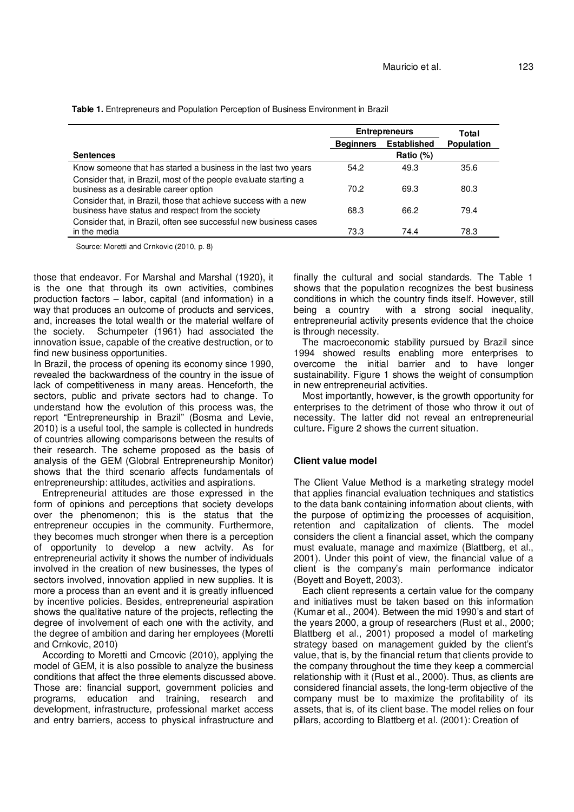**Table 1.** Entrepreneurs and Population Perception of Business Environment in Brazil

|                                                                   | <b>Entrepreneurs</b> |                    | Total             |
|-------------------------------------------------------------------|----------------------|--------------------|-------------------|
|                                                                   | <b>Beginners</b>     | <b>Established</b> | <b>Population</b> |
| <b>Sentences</b>                                                  |                      | Ratio (%)          |                   |
| Know someone that has started a business in the last two years    | 54.2                 | 49.3               | 35.6              |
| Consider that, in Brazil, most of the people evaluate starting a  |                      |                    |                   |
| business as a desirable career option                             | 70.2                 | 69.3               | 80.3              |
| Consider that, in Brazil, those that achieve success with a new   |                      |                    |                   |
| business have status and respect from the society                 | 68.3                 | 66.2               | 79.4              |
| Consider that, in Brazil, often see successful new business cases |                      |                    |                   |
| in the media                                                      | 73.3                 | 74.4               | 78.3              |

Source: Moretti and Crnkovic (2010, p. 8)

those that endeavor. For Marshal and Marshal (1920), it is the one that through its own activities, combines production factors – labor, capital (and information) in a way that produces an outcome of products and services, and, increases the total wealth or the material welfare of the society. Schumpeter (1961) had associated the innovation issue, capable of the creative destruction, or to find new business opportunities.

In Brazil, the process of opening its economy since 1990, revealed the backwardness of the country in the issue of lack of competitiveness in many areas. Henceforth, the sectors, public and private sectors had to change. To understand how the evolution of this process was, the report "Entrepreneurship in Brazil" (Bosma and Levie, 2010) is a useful tool, the sample is collected in hundreds of countries allowing comparisons between the results of their research. The scheme proposed as the basis of analysis of the GEM (Globral Entrepreneurship Monitor) shows that the third scenario affects fundamentals of entrepreneurship: attitudes, activities and aspirations.

Entrepreneurial attitudes are those expressed in the form of opinions and perceptions that society develops over the phenomenon; this is the status that the entrepreneur occupies in the community. Furthermore, they becomes much stronger when there is a perception of opportunity to develop a new actvity. As for entrepreneurial activity it shows the number of individuals involved in the creation of new businesses, the types of sectors involved, innovation applied in new supplies. It is more a process than an event and it is greatly influenced by incentive policies. Besides, entrepreneurial aspiration shows the qualitative nature of the projects, reflecting the degree of involvement of each one with the activity, and the degree of ambition and daring her employees (Moretti and Crnkovic, 2010)

According to Moretti and Crncovic (2010), applying the model of GEM, it is also possible to analyze the business conditions that affect the three elements discussed above. Those are: financial support, government policies and programs, education and training, research and development, infrastructure, professional market access and entry barriers, access to physical infrastructure and

finally the cultural and social standards. The Table 1 shows that the population recognizes the best business conditions in which the country finds itself. However, still being a country with a strong social inequality, entrepreneurial activity presents evidence that the choice is through necessity.

The macroeconomic stability pursued by Brazil since 1994 showed results enabling more enterprises to overcome the initial barrier and to have longer sustainability. Figure 1 shows the weight of consumption in new entrepreneurial activities.

Most importantly, however, is the growth opportunity for enterprises to the detriment of those who throw it out of necessity. The latter did not reveal an entrepreneurial culture**.** Figure 2 shows the current situation.

#### **Client value model**

The Client Value Method is a marketing strategy model that applies financial evaluation techniques and statistics to the data bank containing information about clients, with the purpose of optimizing the processes of acquisition, retention and capitalization of clients. The model considers the client a financial asset, which the company must evaluate, manage and maximize (Blattberg, et al., 2001). Under this point of view, the financial value of a client is the company's main performance indicator (Boyett and Boyett, 2003).

Each client represents a certain value for the company and initiatives must be taken based on this information (Kumar et al., 2004). Between the mid 1990's and start of the years 2000, a group of researchers (Rust et al., 2000; Blattberg et al., 2001) proposed a model of marketing strategy based on management guided by the client's value, that is, by the financial return that clients provide to the company throughout the time they keep a commercial relationship with it (Rust et al., 2000). Thus, as clients are considered financial assets, the long-term objective of the company must be to maximize the profitability of its assets, that is, of its client base. The model relies on four pillars, according to Blattberg et al. (2001): Creation of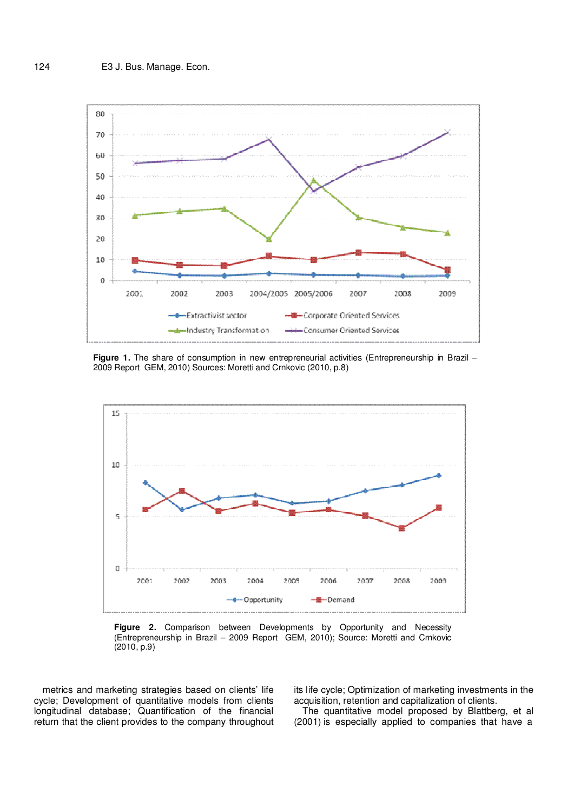

**Figure 1.** The share of consumption in new entrepreneurial activities (Entrepreneurship in Brazil – 2009 Report GEM, 2010) Sources: Moretti and Crnkovic (2010, p.8)



**Figure 2.** Comparison between Developments by Opportunity and Necessity (Entrepreneurship in Brazil – 2009 Report GEM, 2010); Source: Moretti and Crnkovic (2010, p.9)

metrics and marketing strategies based on clients' life cycle; Development of quantitative models from clients longitudinal database; Quantification of the financial return that the client provides to the company throughout

its life cycle; Optimization of marketing investments in the acquisition, retention and capitalization of clients.

The quantitative model proposed by Blattberg, et al (2001) is especially applied to companies that have a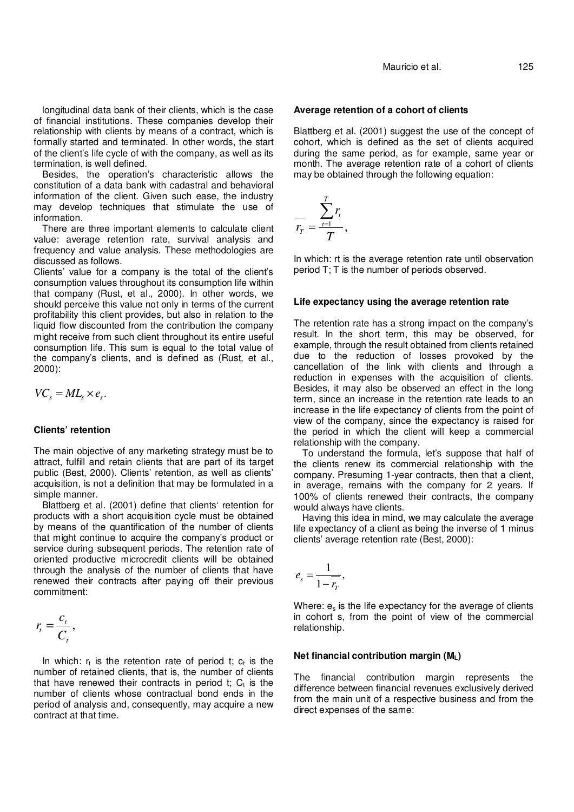longitudinal data bank of their clients, which is the case of financial institutions. These companies develop their relationship with clients by means of a contract, which is formally started and terminated. In other words, the start of the client's life cycle of with the company, as well as its termination, is well defined.

Besides, the operation's characteristic allows the constitution of a data bank with cadastral and behavioral information of the client. Given such ease, the industry may develop techniques that stimulate the use of information.

There are three important elements to calculate client value: average retention rate, survival analysis and frequency and value analysis. These methodologies are discussed as follows.

Clients' value for a company is the total of the client's consumption values throughout its consumption life within that company (Rust, et al., 2000). In other words, we should perceive this value not only in terms of the current profitability this client provides, but also in relation to the liquid flow discounted from the contribution the company might receive from such client throughout its entire useful consumption life. This sum is equal to the total value of the company's clients, and is defined as (Rust, et al., 2000):

$$
V\!C_s = M\!L_s \times e_s.
$$

## **Clients' retention**

The main objective of any marketing strategy must be to attract, fulfill and retain clients that are part of its target public (Best, 2000). Clients' retention, as well as clients' acquisition, is not a definition that may be formulated in a simple manner.

Blattberg et al. (2001) define that clients' retention for products with a short acquisition cycle must be obtained by means of the quantification of the number of clients that might continue to acquire the company's product or service during subsequent periods. The retention rate of oriented productive microcredit clients will be obtained through the analysis of the number of clients that have renewed their contracts after paying off their previous commitment:

$$
r_t = \frac{c_t}{C_t},
$$

In which:  $r_t$  is the retention rate of period t;  $c_t$  is the number of retained clients, that is, the number of clients that have renewed their contracts in period t;  $C_t$  is the number of clients whose contractual bond ends in the period of analysis and, consequently, may acquire a new contract at that time.

#### **Average retention of a cohort of clients**

Blattberg et al. (2001) suggest the use of the concept of cohort, which is defined as the set of clients acquired during the same period, as for example, same year or month. The average retention rate of a cohort of clients may be obtained through the following equation:

$$
\frac{1}{r_T} = \frac{\sum_{t=1}^T r_t}{T},
$$

In which: rt is the average retention rate until observation period T; T is the number of periods observed.

# **Life expectancy using the average retention rate**

The retention rate has a strong impact on the company's result. In the short term, this may be observed, for example, through the result obtained from clients retained due to the reduction of losses provoked by the cancellation of the link with clients and through a reduction in expenses with the acquisition of clients. Besides, it may also be observed an effect in the long term, since an increase in the retention rate leads to an increase in the life expectancy of clients from the point of view of the company, since the expectancy is raised for the period in which the client will keep a commercial relationship with the company.

To understand the formula, let's suppose that half of the clients renew its commercial relationship with the company. Presuming 1-year contracts, then that a client, in average, remains with the company for 2 years. If 100% of clients renewed their contracts, the company would always have clients.

Having this idea in mind, we may calculate the average life expectancy of a client as being the inverse of 1 minus clients' average retention rate (Best, 2000):

$$
e_s = \frac{1}{1 - r_T},
$$

Where:  $e_s$  is the life expectancy for the average of clients in cohort s, from the point of view of the commercial relationship.

#### **Net financial contribution margin (ML)**

The financial contribution margin represents the difference between financial revenues exclusively derived from the main unit of a respective business and from the direct expenses of the same: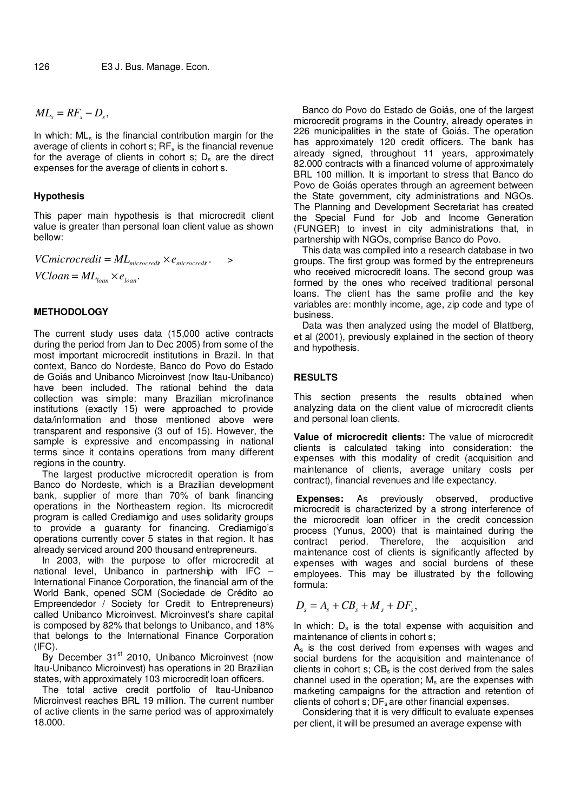$ML<sub>s</sub> = RF<sub>s</sub> - D<sub>s</sub>$ 

In which: MLs is the financial contribution margin for the average of clients in cohort  $s$ ;  $RF_s$  is the financial revenue for the average of clients in cohort  $s$ ;  $D_s$  are the direct expenses for the average of clients in cohort s.

## **Hypothesis**

This paper main hypothesis is that microcredit client value is greater than personal loan client value as shown bellow:

 $V C microcredit = ML_{microcredit} \times e_{microcredit}$ .  $VC loan = ML$ <sub>loan</sub>  $\times e$ <sub>loan</sub>.

## **METHODOLOGY**

The current study uses data (15,000 active contracts during the period from Jan to Dec 2005) from some of the most important microcredit institutions in Brazil. In that context, Banco do Nordeste, Banco do Povo do Estado de Goiás and Unibanco Microinvest (now Itau-Unibanco) have been included. The rational behind the data collection was simple: many Brazilian microfinance institutions (exactly 15) were approached to provide data/information and those mentioned above were transparent and responsive (3 ouf of 15). However, the sample is expressive and encompassing in national terms since it contains operations from many different regions in the country.

The largest productive microcredit operation is from Banco do Nordeste, which is a Brazilian development bank, supplier of more than 70% of bank financing operations in the Northeastern region. Its microcredit program is called Crediamigo and uses solidarity groups to provide a guaranty for financing. Crediamigo's operations currently cover 5 states in that region. It has already serviced around 200 thousand entrepreneurs.

In 2003, with the purpose to offer microcredit at national level, Unibanco in partnership with IFC – International Finance Corporation, the financial arm of the World Bank, opened SCM (Sociedade de Crédito ao Empreendedor / Society for Credit to Entrepreneurs) called Unibanco Microinvest. Microinvest's share capital is composed by 82% that belongs to Unibanco, and 18% that belongs to the International Finance Corporation  $(IFC)$ .

 $By$  December 31 $st$  2010, Unibanco Microinvest (now Itau-Unibanco Microinvest) has operations in 20 Brazilian states, with approximately 103 microcredit loan officers.

The total active credit portfolio of Itau-Unibanco Microinvest reaches BRL 19 million. The current number of active clients in the same period was of approximately 18.000.

Banco do Povo do Estado de Goiás, one of the largest microcredit programs in the Country, already operates in 226 municipalities in the state of Goiás. The operation has approximately 120 credit officers. The bank has already signed, throughout 11 years, approximately 82.000 contracts with a financed volume of approximately BRL 100 million. It is important to stress that Banco do Povo de Goiás operates through an agreement between the State government, city administrations and NGOs. The Planning and Development Secretariat has created the Special Fund for Job and Income Generation (FUNGER) to invest in city administrations that, in partnership with NGOs, comprise Banco do Povo.

This data was compiled into a research database in two groups. The first group was formed by the entrepreneurs who received microcredit loans. The second group was formed by the ones who received traditional personal loans. The client has the same profile and the key variables are: monthly income, age, zip code and type of business.

Data was then analyzed using the model of Blattberg, et al (2001), previously explained in the section of theory and hypothesis.

## **RESULTS**

This section presents the results obtained when analyzing data on the client value of microcredit clients and personal loan clients.

**Value of microcredit clients:** The value of microcredit clients is calculated taking into consideration: the expenses with this modality of credit (acquisition and maintenance of clients, average unitary costs per contract), financial revenues and life expectancy.

**Expenses:** As previously observed, productive microcredit is characterized by a strong interference of the microcredit loan officer in the credit concession process (Yunus, 2000) that is maintained during the contract period. Therefore, the acquisition and maintenance cost of clients is significantly affected by expenses with wages and social burdens of these employees. This may be illustrated by the following formula:

$$
D_s = A_s + CB_s + M_s + DF_s,
$$

In which:  $D_s$  is the total expense with acquisition and maintenance of clients in cohort s;

 $A<sub>s</sub>$  is the cost derived from expenses with wages and social burdens for the acquisition and maintenance of clients in cohort s;  $CB_s$  is the cost derived from the sales channel used in the operation;  $M_s$  are the expenses with marketing campaigns for the attraction and retention of clients of cohort  $s$ ;  $DF_s$  are other financial expenses.

Considering that it is very difficult to evaluate expenses per client, it will be presumed an average expense with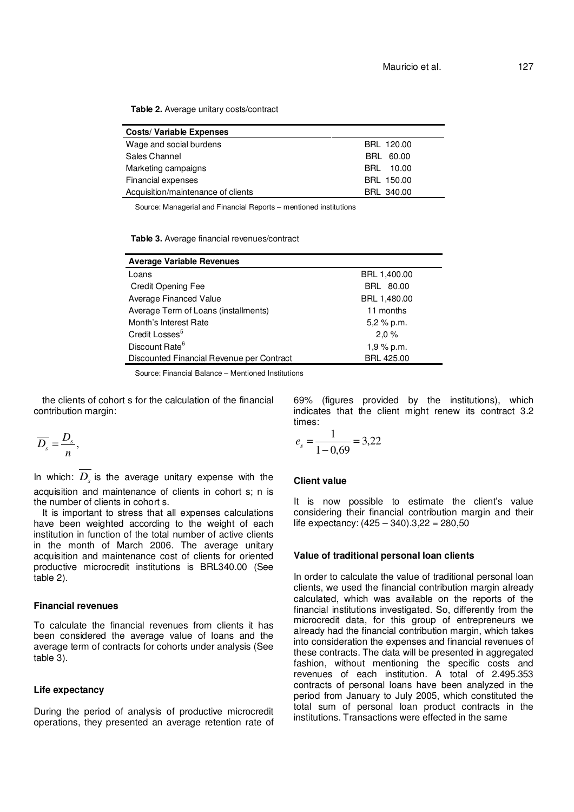**Table 2.** Average unitary costs/contract

| <b>Costs/ Variable Expenses</b>    |            |
|------------------------------------|------------|
| Wage and social burdens            | BRL 120.00 |
| Sales Channel                      | BRL 60.00  |
| Marketing campaigns                | BRL 10.00  |
| Financial expenses                 | BRL 150.00 |
| Acquisition/maintenance of clients | BRL 340.00 |

Source: Managerial and Financial Reports – mentioned institutions

**Table 3.** Average financial revenues/contract

| <b>Average Variable Revenues</b>          |                   |
|-------------------------------------------|-------------------|
| Loans                                     | BRL 1,400.00      |
| <b>Credit Opening Fee</b>                 | BRL 80.00         |
| Average Financed Value                    | BRL 1,480.00      |
| Average Term of Loans (installments)      | 11 months         |
| Month's Interest Rate                     | $5,2%$ p.m.       |
| Credit Losses <sup>5</sup>                | 2,0%              |
| Discount Rate <sup>6</sup>                | $1,9%$ p.m.       |
| Discounted Financial Revenue per Contract | <b>BRL 425.00</b> |

Source: Financial Balance – Mentioned Institutions

the clients of cohort s for the calculation of the financial contribution margin:

$$
\overline{D_s}=\frac{D_s}{n},
$$

In which:  $\overline{D_s}$  is the average unitary expense with the acquisition and maintenance of clients in cohort s; n is the number of clients in cohort s.

It is important to stress that all expenses calculations have been weighted according to the weight of each institution in function of the total number of active clients in the month of March 2006. The average unitary acquisition and maintenance cost of clients for oriented productive microcredit institutions is BRL340.00 (See table 2).

## **Financial revenues**

To calculate the financial revenues from clients it has been considered the average value of loans and the average term of contracts for cohorts under analysis (See table 3).

#### **Life expectancy**

During the period of analysis of productive microcredit operations, they presented an average retention rate of

69% (figures provided by the institutions), which indicates that the client might renew its contract 3.2 times:

$$
e_s = \frac{1}{1 - 0.69} = 3.22
$$

### **Client value**

It is now possible to estimate the client's value considering their financial contribution margin and their life expectancy:  $(425 - 340) \cdot 3,22 = 280,50$ 

#### **Value of traditional personal loan clients**

In order to calculate the value of traditional personal loan clients, we used the financial contribution margin already calculated, which was available on the reports of the financial institutions investigated. So, differently from the microcredit data, for this group of entrepreneurs we already had the financial contribution margin, which takes into consideration the expenses and financial revenues of these contracts. The data will be presented in aggregated fashion, without mentioning the specific costs and revenues of each institution. A total of 2.495.353 contracts of personal loans have been analyzed in the period from January to July 2005, which constituted the total sum of personal loan product contracts in the institutions. Transactions were effected in the same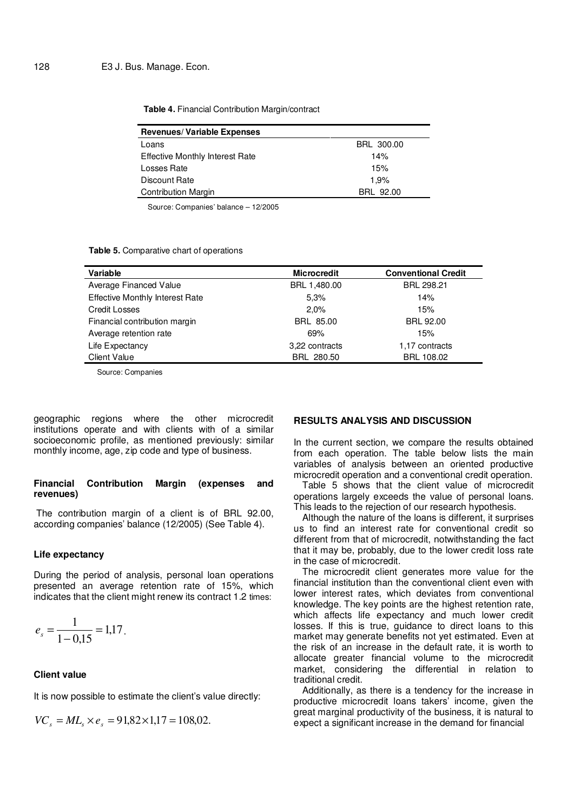#### **Table 4.** Financial Contribution Margin/contract

| <b>Revenues/ Variable Expenses</b>     |            |
|----------------------------------------|------------|
| Loans                                  | BRL 300.00 |
| <b>Effective Monthly Interest Rate</b> | 14%        |
| Losses Rate                            | 15%        |
| Discount Rate                          | 1.9%       |
| <b>Contribution Margin</b>             | BRL 92.00  |

Source: Companies' balance – 12/2005

#### **Table 5.** Comparative chart of operations

| Variable                               | <b>Microcredit</b> | <b>Conventional Credit</b> |
|----------------------------------------|--------------------|----------------------------|
| Average Financed Value                 | BRL 1,480.00       | BRL 298.21                 |
| <b>Effective Monthly Interest Rate</b> | 5,3%               | 14%                        |
| <b>Credit Losses</b>                   | 2.0%               | 15%                        |
| Financial contribution margin          | BRL 85.00          | <b>BRL 92.00</b>           |
| Average retention rate                 | 69%                | 15%                        |
| Life Expectancy                        | 3.22 contracts     | 1,17 contracts             |
| <b>Client Value</b>                    | BRL 280.50         | BRL 108.02                 |

Source: Companies

geographic regions where the other microcredit institutions operate and with clients with of a similar socioeconomic profile, as mentioned previously: similar monthly income, age, zip code and type of business.

#### **Financial Contribution Margin (expenses and revenues)**

 The contribution margin of a client is of BRL 92.00, according companies' balance (12/2005) (See Table 4).

#### **Life expectancy**

During the period of analysis, personal loan operations presented an average retention rate of 15%, which indicates that the client might renew its contract 1.2 times:

$$
e_s = \frac{1}{1 - 0.15} = 1.17.
$$

## **Client value**

It is now possible to estimate the client's value directly:

$$
VC_s = ML_s \times e_s = 91,82 \times 1,17 = 108,02.
$$

# **RESULTS ANALYSIS AND DISCUSSION**

In the current section, we compare the results obtained from each operation. The table below lists the main variables of analysis between an oriented productive microcredit operation and a conventional credit operation.

Table 5 shows that the client value of microcredit operations largely exceeds the value of personal loans. This leads to the rejection of our research hypothesis.

Although the nature of the loans is different, it surprises us to find an interest rate for conventional credit so different from that of microcredit, notwithstanding the fact that it may be, probably, due to the lower credit loss rate in the case of microcredit.

The microcredit client generates more value for the financial institution than the conventional client even with lower interest rates, which deviates from conventional knowledge. The key points are the highest retention rate, which affects life expectancy and much lower credit losses. If this is true, guidance to direct loans to this market may generate benefits not yet estimated. Even at the risk of an increase in the default rate, it is worth to allocate greater financial volume to the microcredit market, considering the differential in relation to traditional credit.

Additionally, as there is a tendency for the increase in productive microcredit loans takers' income, given the great marginal productivity of the business, it is natural to expect a significant increase in the demand for financial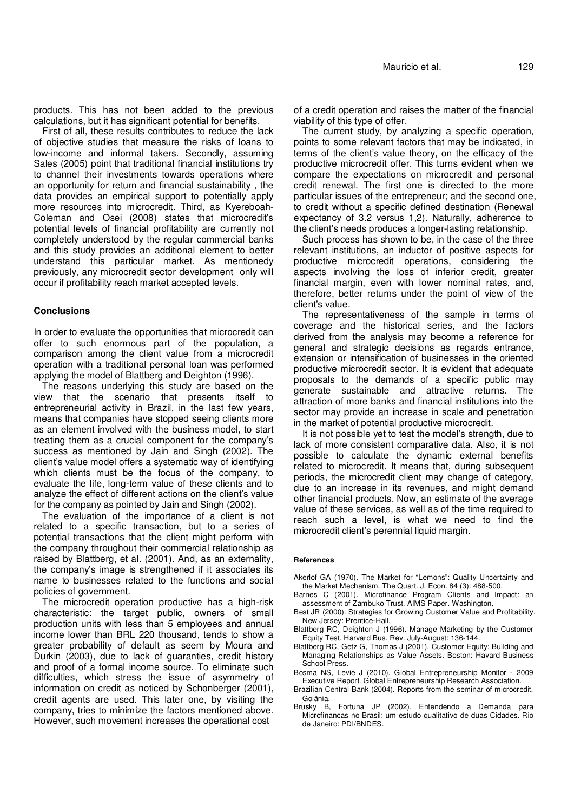products. This has not been added to the previous calculations, but it has significant potential for benefits.

First of all, these results contributes to reduce the lack of objective studies that measure the risks of loans to low-income and informal takers. Secondly, assuming Sales (2005) point that traditional financial institutions try to channel their investments towards operations where an opportunity for return and financial sustainability , the data provides an empirical support to potentially apply more resources into microcredit. Third, as Kyereboah-Coleman and Osei (2008) states that microcredit's potential levels of financial profitability are currently not completely understood by the regular commercial banks and this study provides an additional element to better understand this particular market. As mentionedy previously, any microcredit sector development only will occur if profitability reach market accepted levels.

#### **Conclusions**

In order to evaluate the opportunities that microcredit can offer to such enormous part of the population, a comparison among the client value from a microcredit operation with a traditional personal loan was performed applying the model of Blattberg and Deighton (1996).

The reasons underlying this study are based on the view that the scenario that presents itself to entrepreneurial activity in Brazil, in the last few years, means that companies have stopped seeing clients more as an element involved with the business model, to start treating them as a crucial component for the company's success as mentioned by Jain and Singh (2002). The client's value model offers a systematic way of identifying which clients must be the focus of the company, to evaluate the life, long-term value of these clients and to analyze the effect of different actions on the client's value for the company as pointed by Jain and Singh (2002).

The evaluation of the importance of a client is not related to a specific transaction, but to a series of potential transactions that the client might perform with the company throughout their commercial relationship as raised by Blattberg, et al. (2001). And, as an externality, the company's image is strengthened if it associates its name to businesses related to the functions and social policies of government.

The microcredit operation productive has a high-risk characteristic: the target public, owners of small production units with less than 5 employees and annual income lower than BRL 220 thousand, tends to show a greater probability of default as seem by Moura and Durkin (2003), due to lack of guaranties, credit history and proof of a formal income source. To eliminate such difficulties, which stress the issue of asymmetry of information on credit as noticed by Schonberger (2001), credit agents are used. This later one, by visiting the company, tries to minimize the factors mentioned above. However, such movement increases the operational cost

of a credit operation and raises the matter of the financial viability of this type of offer.

The current study, by analyzing a specific operation, points to some relevant factors that may be indicated, in terms of the client's value theory, on the efficacy of the productive microcredit offer. This turns evident when we compare the expectations on microcredit and personal credit renewal. The first one is directed to the more particular issues of the entrepreneur; and the second one, to credit without a specific defined destination (Renewal expectancy of 3.2 versus 1,2). Naturally, adherence to the client's needs produces a longer-lasting relationship.

Such process has shown to be, in the case of the three relevant institutions, an inductor of positive aspects for productive microcredit operations, considering the aspects involving the loss of inferior credit, greater financial margin, even with lower nominal rates, and, therefore, better returns under the point of view of the client's value.

The representativeness of the sample in terms of coverage and the historical series, and the factors derived from the analysis may become a reference for general and strategic decisions as regards entrance, extension or intensification of businesses in the oriented productive microcredit sector. It is evident that adequate proposals to the demands of a specific public may generate sustainable and attractive returns. The attraction of more banks and financial institutions into the sector may provide an increase in scale and penetration in the market of potential productive microcredit.

It is not possible yet to test the model's strength, due to lack of more consistent comparative data. Also, it is not possible to calculate the dynamic external benefits related to microcredit. It means that, during subsequent periods, the microcredit client may change of category, due to an increase in its revenues, and might demand other financial products. Now, an estimate of the average value of these services, as well as of the time required to reach such a level, is what we need to find the microcredit client's perennial liquid margin.

#### **References**

- Akerlof GA (1970). The Market for "Lemons": Quality Uncertainty and the Market Mechanism. The Quart. J. Econ. 84 (3): 488-500.
- Barnes C (2001). Microfinance Program Clients and Impact: an assessment of Zambuko Trust. AIMS Paper. Washington.
- Best JR (2000). Strategies for Growing Customer Value and Profitability. New Jersey: Prentice-Hall.
- Blattberg RC, Deighton J (1996). Manage Marketing by the Customer Equity Test. Harvard Bus. Rev. July-August: 136-144.
- Blattberg RC, Getz G, Thomas J (2001). Customer Equity: Building and Managing Relationships as Value Assets. Boston: Havard Business School Press.
- Bosma NS, Levie J (2010). Global Entrepreneurship Monitor 2009 Executive Report. Global Entrepreneurship Research Association.
- Brazilian Central Bank (2004). Reports from the seminar of microcredit. Goiânia.
- Brusky B, Fortuna JP (2002). Entendendo a Demanda para Microfinancas no Brasil: um estudo qualitativo de duas Cidades. Rio de Janeiro: PDI/BNDES.